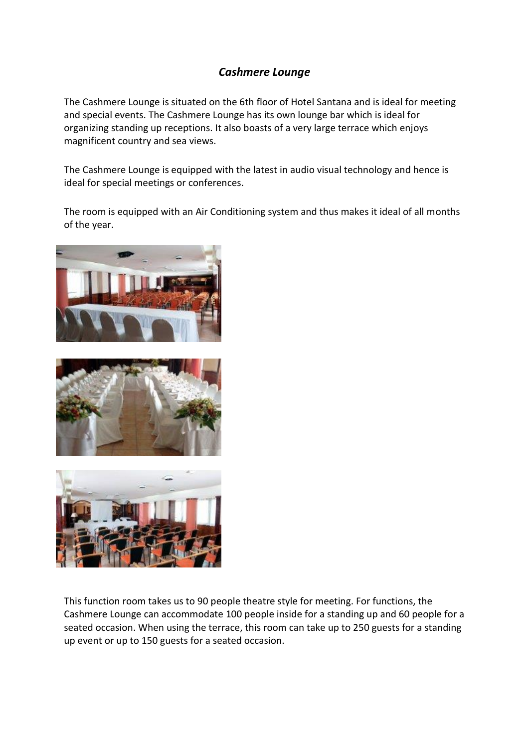## *Cashmere Lounge*

The Cashmere Lounge is situated on the 6th floor of Hotel Santana and is ideal for meeting and special events. The Cashmere Lounge has its own lounge bar which is ideal for organizing standing up receptions. It also boasts of a very large terrace which enjoys magnificent country and sea views.

The Cashmere Lounge is equipped with the latest in audio visual technology and hence is ideal for special meetings or conferences.

The room is equipped with an Air Conditioning system and thus makes it ideal of all months of the year.







This function room takes us to 90 people theatre style for meeting. For functions, the Cashmere Lounge can accommodate 100 people inside for a standing up and 60 people for a seated occasion. When using the terrace, this room can take up to 250 guests for a standing up event or up to 150 guests for a seated occasion.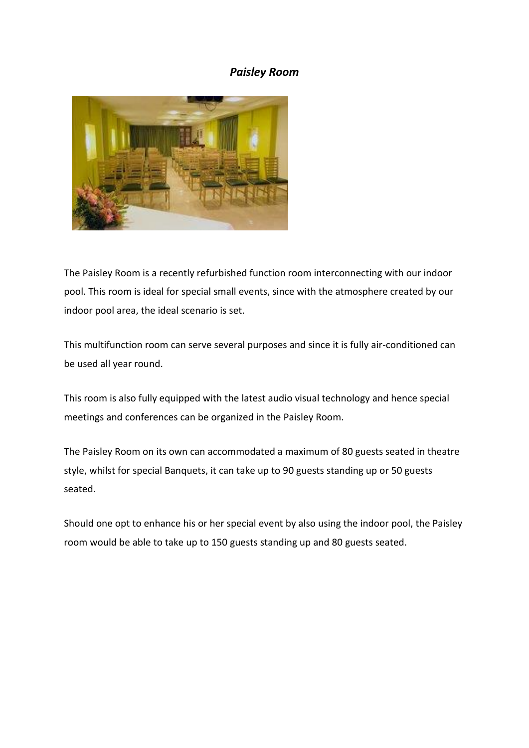## *Paisley Room*



The Paisley Room is a recently refurbished function room interconnecting with our indoor pool. This room is ideal for special small events, since with the atmosphere created by our indoor pool area, the ideal scenario is set.

This multifunction room can serve several purposes and since it is fully air-conditioned can be used all year round.

This room is also fully equipped with the latest audio visual technology and hence special meetings and conferences can be organized in the Paisley Room.

The Paisley Room on its own can accommodated a maximum of 80 guests seated in theatre style, whilst for special Banquets, it can take up to 90 guests standing up or 50 guests seated.

Should one opt to enhance his or her special event by also using the indoor pool, the Paisley room would be able to take up to 150 guests standing up and 80 guests seated.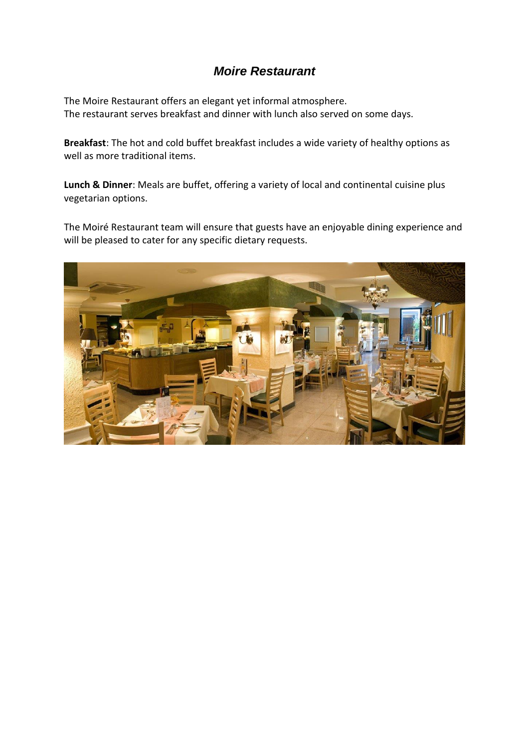## *Moire Restaurant*

The Moire Restaurant offers an elegant yet informal atmosphere. The restaurant serves breakfast and dinner with lunch also served on some days.

**Breakfast**: The hot and cold buffet breakfast includes a wide variety of healthy options as well as more traditional items.

**Lunch & Dinner**: Meals are buffet, offering a variety of local and continental cuisine plus vegetarian options.

The Moiré Restaurant team will ensure that guests have an enjoyable dining experience and will be pleased to cater for any specific dietary requests.